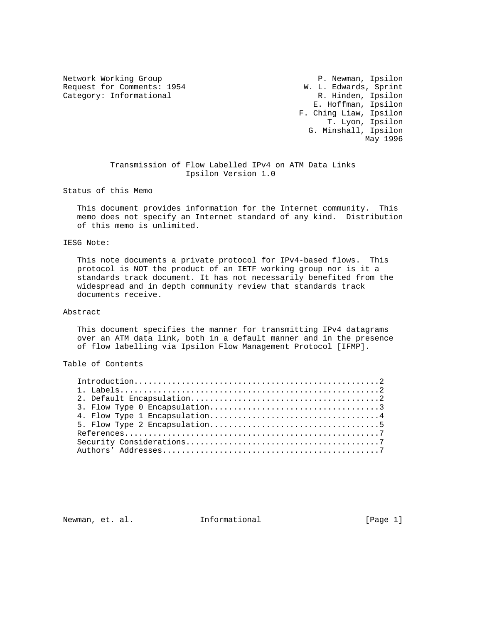Network Working Group **P. Newman, Ipsilon** Request for Comments: 1954 M. L. Edwards, Sprint Category: Informational M. Category: Informational Category: Informational

 E. Hoffman, Ipsilon F. Ching Liaw, Ipsilon T. Lyon, Ipsilon G. Minshall, Ipsilon May 1996

# Transmission of Flow Labelled IPv4 on ATM Data Links Ipsilon Version 1.0

Status of this Memo

 This document provides information for the Internet community. This memo does not specify an Internet standard of any kind. Distribution of this memo is unlimited.

#### IESG Note:

 This note documents a private protocol for IPv4-based flows. This protocol is NOT the product of an IETF working group nor is it a standards track document. It has not necessarily benefited from the widespread and in depth community review that standards track documents receive.

#### Abstract

 This document specifies the manner for transmitting IPv4 datagrams over an ATM data link, both in a default manner and in the presence of flow labelling via Ipsilon Flow Management Protocol [IFMP].

# Table of Contents

Newman, et. al. **Informational** [Page 1]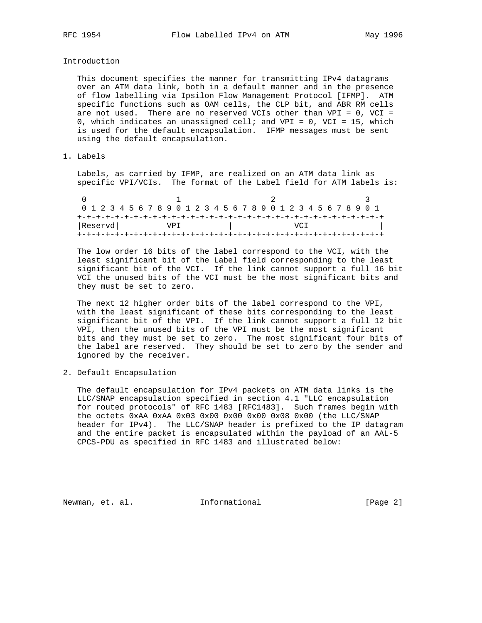Introduction

 This document specifies the manner for transmitting IPv4 datagrams over an ATM data link, both in a default manner and in the presence of flow labelling via Ipsilon Flow Management Protocol [IFMP]. ATM specific functions such as OAM cells, the CLP bit, and ABR RM cells are not used. There are no reserved VCIs other than VPI = 0, VCI = 0, which indicates an unassigned cell; and VPI = 0, VCI = 15, which is used for the default encapsulation. IFMP messages must be sent using the default encapsulation.

### 1. Labels

 Labels, as carried by IFMP, are realized on an ATM data link as specific VPI/VCIs. The format of the Label field for ATM labels is:

|         | 0 1 2 3 4 5 6 7 8 9 0 1 2 3 4 5 6 7 8 9 0 1 2 3 4 5 6 7 8 9 0 1 |  |  |  |  |      |  |  |  |  |  |  |      |  |  |  |  |
|---------|-----------------------------------------------------------------|--|--|--|--|------|--|--|--|--|--|--|------|--|--|--|--|
|         |                                                                 |  |  |  |  |      |  |  |  |  |  |  |      |  |  |  |  |
| Reservd |                                                                 |  |  |  |  | VP T |  |  |  |  |  |  | VC T |  |  |  |  |
|         |                                                                 |  |  |  |  |      |  |  |  |  |  |  |      |  |  |  |  |

 The low order 16 bits of the label correspond to the VCI, with the least significant bit of the Label field corresponding to the least significant bit of the VCI. If the link cannot support a full 16 bit VCI the unused bits of the VCI must be the most significant bits and they must be set to zero.

 The next 12 higher order bits of the label correspond to the VPI, with the least significant of these bits corresponding to the least significant bit of the VPI. If the link cannot support a full 12 bit VPI, then the unused bits of the VPI must be the most significant bits and they must be set to zero. The most significant four bits of the label are reserved. They should be set to zero by the sender and ignored by the receiver.

2. Default Encapsulation

 The default encapsulation for IPv4 packets on ATM data links is the LLC/SNAP encapsulation specified in section 4.1 "LLC encapsulation for routed protocols" of RFC 1483 [RFC1483]. Such frames begin with the octets 0xAA 0xAA 0x03 0x00 0x00 0x00 0x08 0x00 (the LLC/SNAP header for IPv4). The LLC/SNAP header is prefixed to the IP datagram and the entire packet is encapsulated within the payload of an AAL-5 CPCS-PDU as specified in RFC 1483 and illustrated below:

Newman, et. al. **Informational** [Page 2]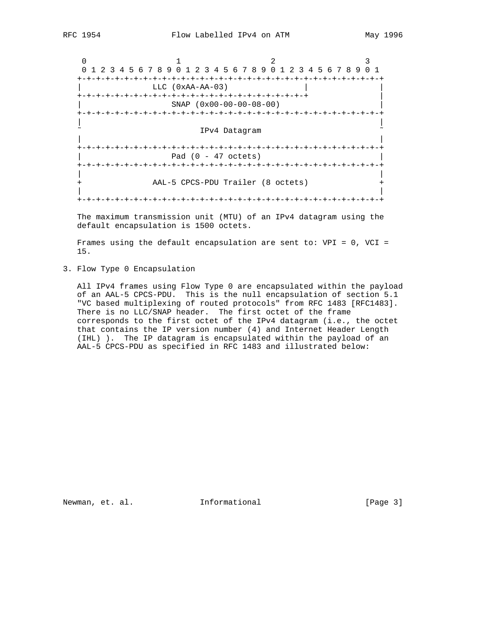0  $1$  2 3 0 1 2 3 4 5 6 7 8 9 0 1 2 3 4 5 6 7 8 9 0 1 2 3 4 5 6 7 8 9 0 1 +-+-+-+-+-+-+-+-+-+-+-+-+-+-+-+-+-+-+-+-+-+-+-+-+-+-+-+-+-+-+-+-+  $LLC$  (0xAA-AA-03) +-+-+-+-+-+-+-+-+-+-+-+-+-+-+-+-+-+-+-+-+-+-+-+-+ | | SNAP (0x00-00-00-08-00) | +-+-+-+-+-+-+-+-+-+-+-+-+-+-+-+-+-+-+-+-+-+-+-+-+-+-+-+-+-+-+-+-+ | | IPv4 Datagram | | +-+-+-+-+-+-+-+-+-+-+-+-+-+-+-+-+-+-+-+-+-+-+-+-+-+-+-+-+-+-+-+-+  $Pad (0 - 47 octets)$  +-+-+-+-+-+-+-+-+-+-+-+-+-+-+-+-+-+-+-+-+-+-+-+-+-+-+-+-+-+-+-+-+ | | AAL-5 CPCS-PDU Trailer (8 octets) | | +-+-+-+-+-+-+-+-+-+-+-+-+-+-+-+-+-+-+-+-+-+-+-+-+-+-+-+-+-+-+-+-+

 The maximum transmission unit (MTU) of an IPv4 datagram using the default encapsulation is 1500 octets.

 Frames using the default encapsulation are sent to: VPI = 0, VCI = 15.

3. Flow Type 0 Encapsulation

 All IPv4 frames using Flow Type 0 are encapsulated within the payload of an AAL-5 CPCS-PDU. This is the null encapsulation of section 5.1 "VC based multiplexing of routed protocols" from RFC 1483 [RFC1483]. There is no LLC/SNAP header. The first octet of the frame corresponds to the first octet of the IPv4 datagram (i.e., the octet that contains the IP version number (4) and Internet Header Length (IHL) ). The IP datagram is encapsulated within the payload of an AAL-5 CPCS-PDU as specified in RFC 1483 and illustrated below:

Newman, et. al. 10. Informational 1. [Page 3]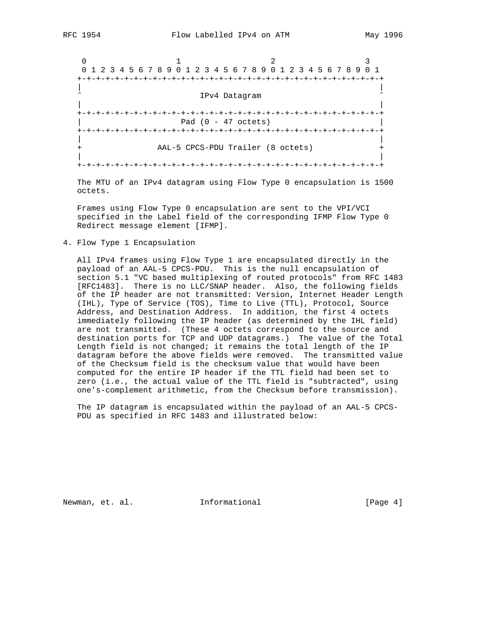0  $1$  2 3 0 1 2 3 4 5 6 7 8 9 0 1 2 3 4 5 6 7 8 9 0 1 2 3 4 5 6 7 8 9 0 1 +-+-+-+-+-+-+-+-+-+-+-+-+-+-+-+-+-+-+-+-+-+-+-+-+-+-+-+-+-+-+-+-+ | | IPv4 Datagram | | +-+-+-+-+-+-+-+-+-+-+-+-+-+-+-+-+-+-+-+-+-+-+-+-+-+-+-+-+-+-+-+-+ | Pad (0 - 47 octets) | +-+-+-+-+-+-+-+-+-+-+-+-+-+-+-+-+-+-+-+-+-+-+-+-+-+-+-+-+-+-+-+-+ | | AAL-5 CPCS-PDU Trailer (8 octets) | | +-+-+-+-+-+-+-+-+-+-+-+-+-+-+-+-+-+-+-+-+-+-+-+-+-+-+-+-+-+-+-+-+

 The MTU of an IPv4 datagram using Flow Type 0 encapsulation is 1500 octets.

 Frames using Flow Type 0 encapsulation are sent to the VPI/VCI specified in the Label field of the corresponding IFMP Flow Type 0 Redirect message element [IFMP].

4. Flow Type 1 Encapsulation

 All IPv4 frames using Flow Type 1 are encapsulated directly in the payload of an AAL-5 CPCS-PDU. This is the null encapsulation of section 5.1 "VC based multiplexing of routed protocols" from RFC 1483 [RFC1483]. There is no LLC/SNAP header. Also, the following fields of the IP header are not transmitted: Version, Internet Header Length (IHL), Type of Service (TOS), Time to Live (TTL), Protocol, Source Address, and Destination Address. In addition, the first 4 octets immediately following the IP header (as determined by the IHL field) are not transmitted. (These 4 octets correspond to the source and destination ports for TCP and UDP datagrams.) The value of the Total Length field is not changed; it remains the total length of the IP datagram before the above fields were removed. The transmitted value of the Checksum field is the checksum value that would have been computed for the entire IP header if the TTL field had been set to zero (i.e., the actual value of the TTL field is "subtracted", using one's-complement arithmetic, from the Checksum before transmission).

 The IP datagram is encapsulated within the payload of an AAL-5 CPCS- PDU as specified in RFC 1483 and illustrated below:

Newman, et. al. **Informational** [Page 4]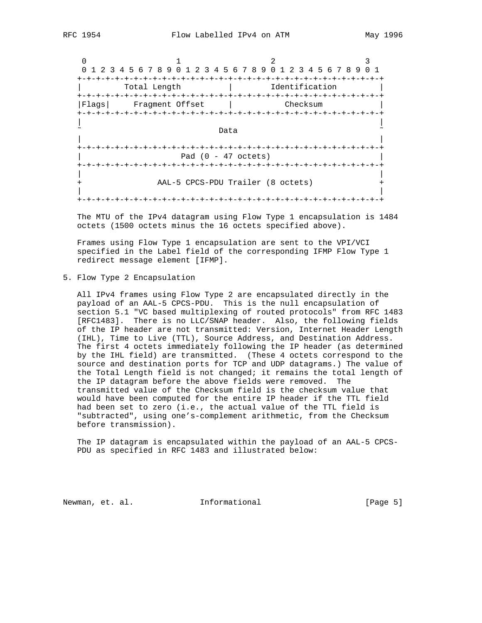0  $1$  2 3 0 1 2 3 4 5 6 7 8 9 0 1 2 3 4 5 6 7 8 9 0 1 2 3 4 5 6 7 8 9 0 1 +-+-+-+-+-+-+-+-+-+-+-+-+-+-+-+-+-+-+-+-+-+-+-+-+-+-+-+-+-+-+-+-+ | Total Length | Identification | +-+-+-+-+-+-+-+-+-+-+-+-+-+-+-+-+-+-+-+-+-+-+-+-+-+-+-+-+-+-+-+-+ |Flags| Fragment Offset | Checksum | +-+-+-+-+-+-+-+-+-+-+-+-+-+-+-+-+-+-+-+-+-+-+-+-+-+-+-+-+-+-+-+-+ | | ˜ Data ˜ | | +-+-+-+-+-+-+-+-+-+-+-+-+-+-+-+-+-+-+-+-+-+-+-+-+-+-+-+-+-+-+-+-+  $Pad (0 - 47 octets)$  +-+-+-+-+-+-+-+-+-+-+-+-+-+-+-+-+-+-+-+-+-+-+-+-+-+-+-+-+-+-+-+-+ | | AAL-5 CPCS-PDU Trailer (8 octets) | | +-+-+-+-+-+-+-+-+-+-+-+-+-+-+-+-+-+-+-+-+-+-+-+-+-+-+-+-+-+-+-+-+

 The MTU of the IPv4 datagram using Flow Type 1 encapsulation is 1484 octets (1500 octets minus the 16 octets specified above).

 Frames using Flow Type 1 encapsulation are sent to the VPI/VCI specified in the Label field of the corresponding IFMP Flow Type 1 redirect message element [IFMP].

5. Flow Type 2 Encapsulation

 All IPv4 frames using Flow Type 2 are encapsulated directly in the payload of an AAL-5 CPCS-PDU. This is the null encapsulation of section 5.1 "VC based multiplexing of routed protocols" from RFC 1483 [RFC1483]. There is no LLC/SNAP header. Also, the following fields of the IP header are not transmitted: Version, Internet Header Length (IHL), Time to Live (TTL), Source Address, and Destination Address. The first 4 octets immediately following the IP header (as determined by the IHL field) are transmitted. (These 4 octets correspond to the source and destination ports for TCP and UDP datagrams.) The value of the Total Length field is not changed; it remains the total length of the IP datagram before the above fields were removed. The transmitted value of the Checksum field is the checksum value that would have been computed for the entire IP header if the TTL field had been set to zero (i.e., the actual value of the TTL field is "subtracted", using one's-complement arithmetic, from the Checksum before transmission).

 The IP datagram is encapsulated within the payload of an AAL-5 CPCS- PDU as specified in RFC 1483 and illustrated below:

Newman, et. al. **Informational** [Page 5]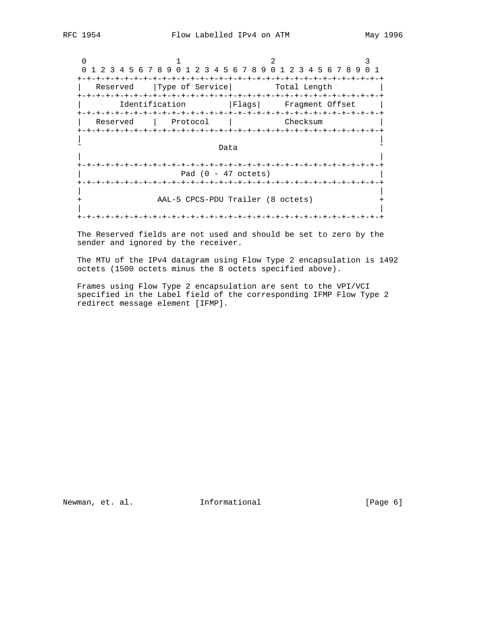0  $1$  2 3 0 1 2 3 4 5 6 7 8 9 0 1 2 3 4 5 6 7 8 9 0 1 2 3 4 5 6 7 8 9 0 1 +-+-+-+-+-+-+-+-+-+-+-+-+-+-+-+-+-+-+-+-+-+-+-+-+-+-+-+-+-+-+-+-+ | Reserved | Type of Service| Total Length +-+-+-+-+-+-+-+-+-+-+-+-+-+-+-+-+-+-+-+-+-+-+-+-+-+-+-+-+-+-+-+-+ | Identification |Flags| Fragment Offset | +-+-+-+-+-+-+-+-+-+-+-+-+-+-+-+-+-+-+-+-+-+-+-+-+-+-+-+-+-+-+-+-+ | Reserved | Protocol | Checksum | +-+-+-+-+-+-+-+-+-+-+-+-+-+-+-+-+-+-+-+-+-+-+-+-+-+-+-+-+-+-+-+-+ | | ˜ Data ˜ | | +-+-+-+-+-+-+-+-+-+-+-+-+-+-+-+-+-+-+-+-+-+-+-+-+-+-+-+-+-+-+-+-+ | Pad (0 - 47 octets) | +-+-+-+-+-+-+-+-+-+-+-+-+-+-+-+-+-+-+-+-+-+-+-+-+-+-+-+-+-+-+-+-+ | | + AAL-5 CPCS-PDU Trailer (8 octets) + | | +-+-+-+-+-+-+-+-+-+-+-+-+-+-+-+-+-+-+-+-+-+-+-+-+-+-+-+-+-+-+-+-+

 The Reserved fields are not used and should be set to zero by the sender and ignored by the receiver.

 The MTU of the IPv4 datagram using Flow Type 2 encapsulation is 1492 octets (1500 octets minus the 8 octets specified above).

 Frames using Flow Type 2 encapsulation are sent to the VPI/VCI specified in the Label field of the corresponding IFMP Flow Type 2 redirect message element [IFMP].

Newman, et. al. 10. Informational 1. [Page 6]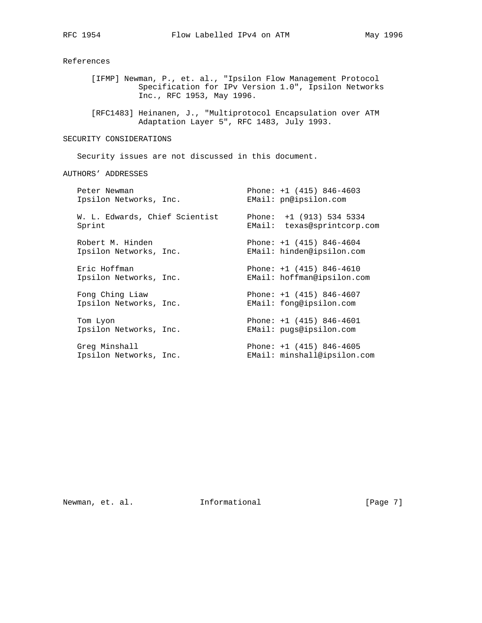References

 [IFMP] Newman, P., et. al., "Ipsilon Flow Management Protocol Specification for IPv Version 1.0", Ipsilon Networks Inc., RFC 1953, May 1996.

 [RFC1483] Heinanen, J., "Multiprotocol Encapsulation over ATM Adaptation Layer 5", RFC 1483, July 1993.

# SECURITY CONSIDERATIONS

Security issues are not discussed in this document.

AUTHORS' ADDRESSES

| Peter Newman<br>Ipsilon Networks, Inc.     |        | Phone: $+1$ (415) 846-4603<br>EMail: pn@ipsilon.com       |
|--------------------------------------------|--------|-----------------------------------------------------------|
| W. L. Edwards, Chief Scientist<br>Sprint   | EMail: | Phone: $+1$ (913) 534 5334<br>texas@sprintcorp.com        |
| Robert M. Hinden<br>Ipsilon Networks, Inc. |        | Phone: $+1$ (415) 846-4604<br>EMail: hinden@ipsilon.com   |
| Eric Hoffman<br>Ipsilon Networks, Inc.     |        | Phone: $+1$ (415) 846-4610<br>EMail: hoffman@ipsilon.com  |
| Fong Ching Liaw<br>Ipsilon Networks, Inc.  |        | Phone: $+1$ (415) 846-4607<br>EMail: fong@ipsilon.com     |
| Tom Lyon<br>Ipsilon Networks, Inc.         |        | Phone: $+1$ (415) 846-4601<br>EMail: pugs@ipsilon.com     |
| Greg Minshall<br>Ipsilon Networks, Inc.    |        | Phone: $+1$ (415) 846-4605<br>EMail: minshall@ipsilon.com |

# Newman, et. al. 10. Informational 1. [Page 7]